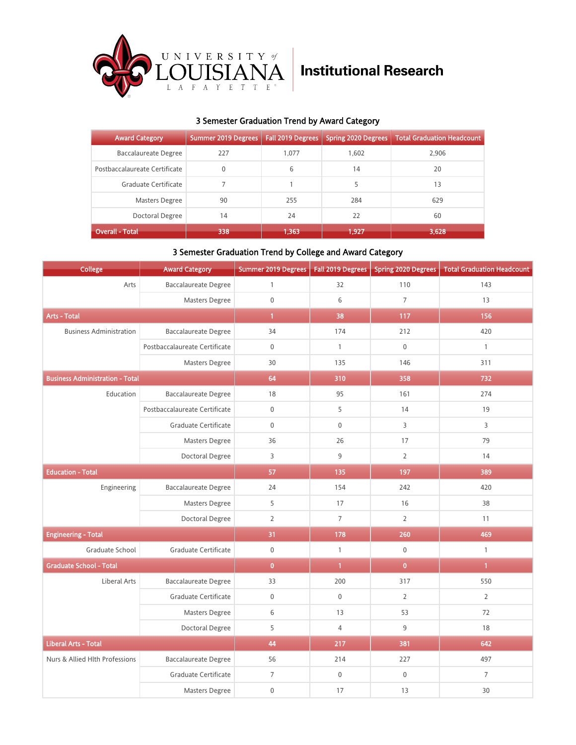

## 3 Semester Graduation Trend by Award Category

| <b>Award Category</b>         | <b>Summer 2019 Degrees</b> | Fall 2019 Degrees | <b>Spring 2020 Degrees</b> | <b>Total Graduation Headcount</b> |
|-------------------------------|----------------------------|-------------------|----------------------------|-----------------------------------|
| Baccalaureate Degree          | 227                        | 1.077             | 1.602                      | 2,906                             |
| Postbaccalaureate Certificate | $\mathbf{0}$               | 6                 | 14                         | 20                                |
| Graduate Certificate          |                            |                   | 5                          | 13                                |
| Masters Degree                | 90                         | 255               | 284                        | 629                               |
| Doctoral Degree               | 14                         | 24                | 22                         | 60                                |
| Overall - Total               | 338                        | 1.363             | 1,927                      | 3,628                             |

### 3 Semester Graduation Trend by College and Award Category

| College                                | <b>Award Category</b>         | Summer 2019 Degrees |                | Fall 2019 Degrees   Spring 2020 Degrees | <b>Total Graduation Headcount</b> |
|----------------------------------------|-------------------------------|---------------------|----------------|-----------------------------------------|-----------------------------------|
| Arts                                   | <b>Baccalaureate Degree</b>   | $\mathbf{1}$        | 32             | 110                                     | 143                               |
|                                        | Masters Degree                | $\mathsf{O}\xspace$ | 6              | $\overline{7}$                          | 13                                |
| <b>Arts - Total</b>                    |                               | $\mathbf{1}$        | 38             | 117                                     | 156                               |
| <b>Business Administration</b>         | <b>Baccalaureate Degree</b>   | 34                  | 174            | 212                                     | 420                               |
|                                        | Postbaccalaureate Certificate | $\mathbf 0$         | $\mathbf{1}$   | $\mathbf 0$                             | $\mathbf{1}$                      |
|                                        | Masters Degree                | 30                  | 135            | 146                                     | 311                               |
| <b>Business Administration - Total</b> |                               | 64                  | 310            | 358                                     | 732                               |
| Education                              | <b>Baccalaureate Degree</b>   | 18                  | 95             | 161                                     | 274                               |
|                                        | Postbaccalaureate Certificate | $\mathbf 0$         | 5              | 14                                      | 19                                |
|                                        | Graduate Certificate          | $\mathbf 0$         | $\mathbf 0$    | $\overline{3}$                          | $\overline{3}$                    |
|                                        | Masters Degree                | 36                  | 26             | 17                                      | 79                                |
|                                        | Doctoral Degree               | 3                   | 9              | $\overline{2}$                          | 14                                |
| <b>Education - Total</b>               |                               | 57                  | 135            | 197                                     | 389                               |
| Engineering                            | <b>Baccalaureate Degree</b>   | 24                  | 154            | 242                                     | 420                               |
|                                        | Masters Degree                | 5                   | 17             | 16                                      | 38                                |
|                                        | Doctoral Degree               | $\overline{2}$      | $\overline{7}$ | $\overline{2}$                          | 11                                |
| <b>Engineering - Total</b>             |                               | 31                  | 178            | 260                                     | 469                               |
| Graduate School                        | Graduate Certificate          | $\mathbf 0$         | $\mathbf{1}$   | $\mathbf 0$                             | $\mathbf{1}$                      |
| <b>Graduate School - Total</b>         |                               | $\overline{0}$      | $\mathbf{1}$   | $\overline{0}$                          | $\mathbf{1}$                      |
| Liberal Arts                           | <b>Baccalaureate Degree</b>   | 33                  | 200            | 317                                     | 550                               |
|                                        | Graduate Certificate          | $\mathbf 0$         | $\mathbf 0$    | $\overline{2}$                          | $\overline{2}$                    |
|                                        | Masters Degree                | 6                   | 13             | 53                                      | 72                                |
|                                        | Doctoral Degree               | 5                   | $\overline{4}$ | 9                                       | 18                                |
| <b>Liberal Arts - Total</b>            |                               | 44                  | 217            | 381                                     | 642                               |
| Nurs & Allied Hlth Professions         | <b>Baccalaureate Degree</b>   | 56                  | 214            | 227                                     | 497                               |
|                                        | Graduate Certificate          | $\overline{7}$      | $\mathbf 0$    | $\mathbf 0$                             | $\overline{7}$                    |
|                                        | Masters Degree                | $\mathsf{O}\xspace$ | 17             | 13                                      | 30                                |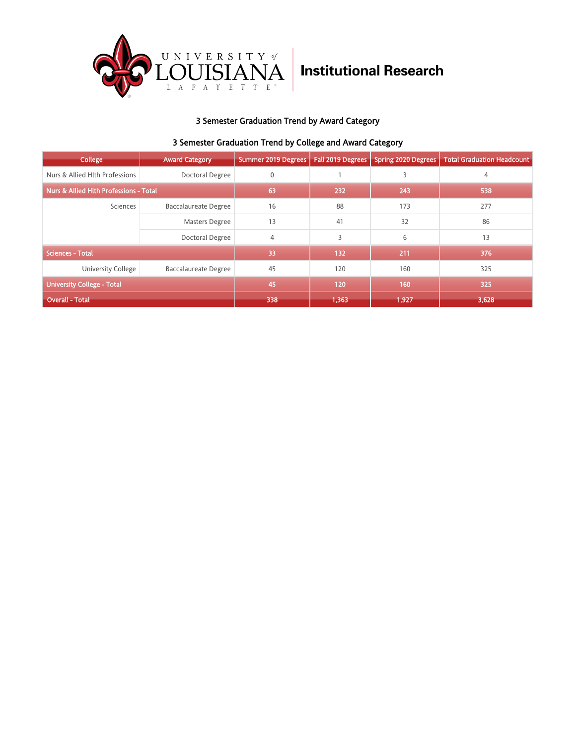

# **Institutional Research**

## 3 Semester Graduation Trend by Award Category

### 3 Semester Graduation Trend by College and Award Category

| College                                           | <b>Award Category</b>       | Summer 2019 Degrees | <b>Fall 2019 Degrees</b> | <b>Spring 2020 Degrees</b> | <b>Total Graduation Headcount</b> |
|---------------------------------------------------|-----------------------------|---------------------|--------------------------|----------------------------|-----------------------------------|
| Nurs & Allied Hlth Professions                    | Doctoral Degree             | 0                   |                          | 3                          | 4                                 |
| <b>Nurs &amp; Allied Hith Professions - Total</b> |                             | 63                  | 232                      | 243                        | 538                               |
| Sciences                                          | <b>Baccalaureate Degree</b> | 16                  | 88                       | 173                        | 277                               |
|                                                   | <b>Masters Degree</b>       | 13                  | 41                       | 32                         | 86                                |
|                                                   | Doctoral Degree             | 4                   | 3                        | 6                          | 13                                |
| <b>Sciences - Total</b>                           |                             | 33                  | 132                      | 211                        | 376                               |
| <b>University College</b>                         | <b>Baccalaureate Degree</b> | 45                  | 120                      | 160                        | 325                               |
| <b>University College - Total</b>                 |                             | 45                  | 120                      | 160                        | 325                               |
| <b>Overall - Total</b>                            |                             | 338                 | 1,363                    | 1,927                      | 3,628                             |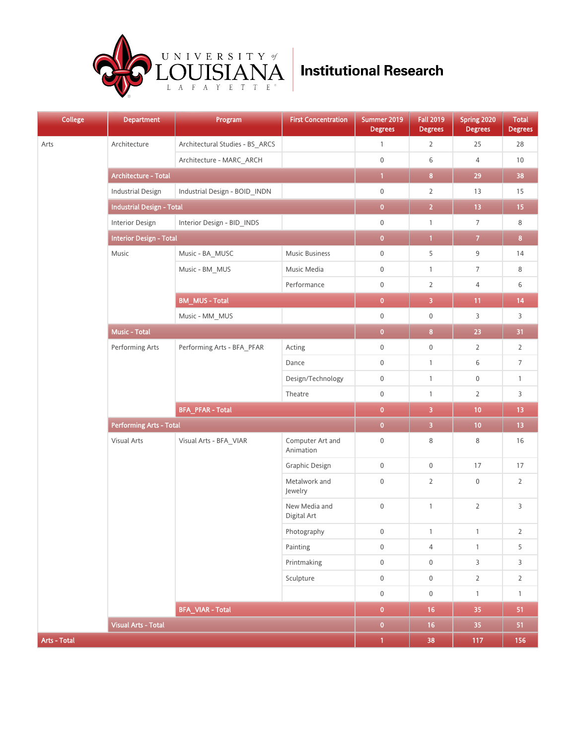

| College      | <b>Department</b>                | Program<br>_                    | <b>First Concentration</b>    | Summer 2019<br><b>Degrees</b> | <b>Fall 2019</b><br><b>Degrees</b> | Spring 2020<br><b>Degrees</b> | Total<br><b>Degrees</b> |
|--------------|----------------------------------|---------------------------------|-------------------------------|-------------------------------|------------------------------------|-------------------------------|-------------------------|
| Arts         | Architecture                     | Architectural Studies - BS_ARCS |                               | $\mathbf{1}$                  | $\overline{2}$                     | 25                            | 28                      |
|              |                                  | Architecture - MARC_ARCH        |                               | $\mathsf{O}\xspace$           | 6                                  | 4                             | 10                      |
|              | Architecture - Total             |                                 |                               | $\mathbf{1}$                  | $\bf{8}$                           | 29                            | 38                      |
|              | <b>Industrial Design</b>         | Industrial Design - BOID_INDN   |                               | $\boldsymbol{0}$              | $\overline{2}$                     | 13                            | 15                      |
|              | <b>Industrial Design - Total</b> |                                 |                               | $\mathbf 0$                   | $\overline{2}$                     | 13                            | 15                      |
|              | Interior Design                  | Interior Design - BID_INDS      |                               | $\boldsymbol{0}$              | $\mathbf{1}$                       | $\overline{7}$                | 8                       |
|              | <b>Interior Design - Total</b>   |                                 |                               | $\bullet$                     | $\mathbf{1}$                       | $\mathbf{7}$                  | $\overline{\mathbf{8}}$ |
|              | Music                            | Music - BA_MUSC                 | Music Business                | $\boldsymbol{0}$              | 5                                  | 9                             | 14                      |
|              |                                  | Music - BM_MUS                  | Music Media                   | $\boldsymbol{0}$              | $\mathbf{1}$                       | 7                             | 8                       |
|              |                                  |                                 | Performance                   | $\mathbf 0$                   | $\overline{2}$                     | 4                             | 6                       |
|              |                                  | <b>BM_MUS-Total</b>             |                               | $\overline{\mathbf{0}}$       | $\overline{\mathbf{3}}$            | 11                            | 14                      |
|              |                                  | Music - MM_MUS                  |                               | $\boldsymbol{0}$              | $\boldsymbol{0}$                   | 3                             | 3                       |
|              | <b>Music - Total</b>             |                                 | $\mathbf{0}$                  | $\overline{\mathbf{8}}$       | 23                                 | 31                            |                         |
|              | Performing Arts                  | Performing Arts - BFA_PFAR      | Acting                        | $\boldsymbol{0}$              | $\boldsymbol{0}$                   | $\overline{2}$                | $\overline{2}$          |
|              |                                  |                                 | Dance                         | $\boldsymbol{0}$              | $\mathbf{1}$                       | 6                             | $\overline{7}$          |
|              |                                  |                                 | Design/Technology             | $\mathbf 0$                   | $\mathbf{1}$                       | $\mathbf 0$                   | $\mathbf{1}$            |
|              |                                  |                                 | Theatre                       | $\mathbf 0$                   | $\mathbf{1}$                       | $\overline{2}$                | 3                       |
|              |                                  | <b>BFA_PFAR - Total</b>         |                               | $\mathbf{0}$                  | $\overline{\mathbf{3}}$            | 10                            | 13                      |
|              | <b>Performing Arts - Total</b>   |                                 |                               | $\overline{0}$                | $\overline{\mathbf{3}}$            | 10                            | $13$                    |
|              | Visual Arts                      | Visual Arts - BFA_VIAR          | Computer Art and<br>Animation | $\boldsymbol{0}$              | 8                                  | 8                             | 16                      |
|              |                                  |                                 | Graphic Design                | $\mathsf{O}\xspace$           | $\boldsymbol{0}$                   | $17\,$                        | 17                      |
|              |                                  |                                 | Metalwork and<br>Jewelry      | $\mathbf 0$                   | $\overline{2}$                     | $\mathbb O$                   | $\overline{2}$          |
|              |                                  |                                 | New Media and<br>Digital Art  | $\boldsymbol{0}$              | $\mathbf{1}$                       | $\overline{2}$                | 3                       |
|              |                                  |                                 | Photography                   | $\overline{0}$                | $\mathbf{1}$                       | $\mathbf{1}$                  | $\overline{2}$          |
|              |                                  |                                 | Painting                      | $\mathsf{O}\xspace$           | 4                                  | $\mathbf{1}$                  | 5                       |
|              |                                  |                                 | Printmaking                   | $\mathsf{O}\xspace$           | $\mathsf 0$                        | $\mathsf{3}$                  | $\mathsf{3}$            |
|              |                                  |                                 | Sculpture                     | $\mathbf 0$                   | $\boldsymbol{0}$                   | $\overline{2}$                | $\mathbf 2$             |
|              |                                  |                                 |                               | $\mathsf{O}\xspace$           | $\boldsymbol{0}$                   | $\mathbf{1}$                  | $\mathbf{1}$            |
|              |                                  | <b>BFA_VIAR - Total</b>         |                               | $\overline{\mathbf{0}}$       | 16                                 | 35                            | 51                      |
|              | <b>Visual Arts - Total</b>       |                                 |                               | $\overline{\mathbf{0}}$       | 16                                 | 35                            | 51                      |
| Arts - Total |                                  |                                 |                               | $\mathbf{1}$                  | 38                                 | 117                           | 156                     |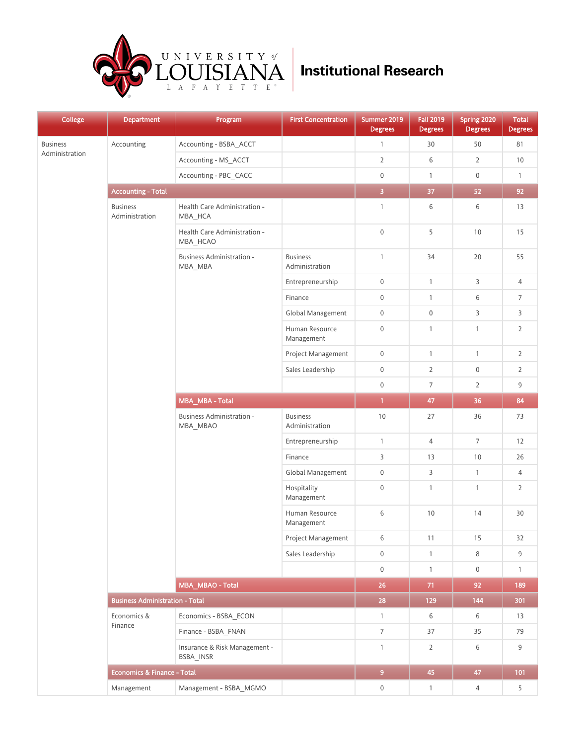

| <b>College</b>  | <b>Department</b>                      | <b>Program</b>                             | <b>First Concentration</b>        | Summer 2019<br><b>Degrees</b> | <b>Fall 2019</b><br><b>Degrees</b> | Spring 2020<br><b>Degrees</b> | <b>Total</b><br><b>Degrees</b> |
|-----------------|----------------------------------------|--------------------------------------------|-----------------------------------|-------------------------------|------------------------------------|-------------------------------|--------------------------------|
| <b>Business</b> | Accounting                             | Accounting - BSBA_ACCT                     |                                   | $\mathbf{1}$                  | 30                                 | 50                            | 81                             |
| Administration  |                                        | Accounting - MS ACCT                       |                                   | $\overline{2}$                | 6                                  | $\overline{2}$                | 10                             |
|                 |                                        | Accounting - PBC CACC                      |                                   | $\mathsf{O}\xspace$           | $\mathbf{1}$                       | $\mathsf{0}$                  | $\mathbf{1}$                   |
|                 | <b>Accounting - Total</b>              |                                            |                                   | $\overline{\mathbf{3}}$       | 37                                 | 52                            | 92                             |
|                 | <b>Business</b><br>Administration      | Health Care Administration -<br>MBA HCA    |                                   | $\mathbf{1}$                  | 6                                  | 6                             | 13                             |
|                 |                                        | Health Care Administration -<br>MBA_HCAO   |                                   | $\mathsf{O}\xspace$           | 5                                  | 10                            | 15                             |
|                 |                                        | Business Administration -<br>MBA_MBA       | <b>Business</b><br>Administration | $\mathbf{1}$                  | 34                                 | 20                            | 55                             |
|                 |                                        |                                            | Entrepreneurship                  | $\mathsf{O}\xspace$           | $\mathbf{1}$                       | 3                             | 4                              |
|                 |                                        |                                            | Finance                           | $\boldsymbol{0}$              | $\mathbf{1}$                       | 6                             | $\overline{7}$                 |
|                 |                                        |                                            | Global Management                 | $\mathbf 0$                   | $\mathbf 0$                        | 3                             | 3                              |
|                 |                                        |                                            | Human Resource<br>Management      | $\boldsymbol{0}$              | $\mathbf{1}$                       | $\mathbf{1}$                  | $\overline{2}$                 |
|                 |                                        |                                            | Project Management                | $\mathbf 0$                   | $\mathbf{1}$                       | $\mathbf{1}$                  | $\overline{2}$                 |
|                 |                                        |                                            | Sales Leadership                  | $\mathsf{O}\xspace$           | $\overline{2}$                     | $\mathsf{0}$                  | $\overline{2}$                 |
|                 |                                        |                                            |                                   | $\boldsymbol{0}$              | $\overline{7}$                     | $\overline{2}$                | 9                              |
|                 |                                        | MBA_MBA - Total                            |                                   | $\overline{1}$                | 47                                 | 36                            | 84                             |
|                 |                                        | Business Administration -<br>MBA_MBAO      | <b>Business</b><br>Administration | 10                            | 27                                 | 36                            | 73                             |
|                 |                                        |                                            | Entrepreneurship                  | $\mathbf{1}$                  | 4                                  | $\overline{7}$                | 12                             |
|                 |                                        |                                            | Finance                           | 3                             | 13                                 | 10                            | 26                             |
|                 |                                        |                                            | Global Management                 | $\boldsymbol{0}$              | 3                                  | $\mathbf{1}$                  | 4                              |
|                 |                                        |                                            | Hospitality<br>Management         | $\boldsymbol{0}$              | $\mathbf{1}$                       | $\mathbf{1}$                  | $\overline{2}$                 |
|                 |                                        |                                            | Human Resource<br>Management      | 6                             | 10                                 | 14                            | 30                             |
|                 |                                        |                                            | Project Management                | 6                             | 11                                 | 15                            | 32                             |
|                 |                                        |                                            | Sales Leadership                  | $\mathbf 0$                   | $\mathbf{1}$                       | 8                             | $9\,$                          |
|                 |                                        |                                            |                                   | $\mathbf 0$                   | $\mathbf{1}$                       | $\mathbf 0$                   | $\mathbf{1}$                   |
|                 |                                        | MBA_MBAO - Total                           |                                   | 26                            | 71                                 | 92                            | 189                            |
|                 | <b>Business Administration - Total</b> |                                            |                                   | 28                            | 129                                | 144                           | 301                            |
|                 | Economics &<br>Finance                 | Economics - BSBA_ECON                      |                                   | $\mathbf{1}$                  | 6                                  | 6                             | 13                             |
|                 |                                        | Finance - BSBA FNAN                        |                                   | $7\overline{ }$               | 37                                 | 35                            | 79                             |
|                 |                                        | Insurance & Risk Management -<br>BSBA_INSR |                                   | $\mathbf{1}$                  | $\overline{2}$                     | 6                             | $9\,$                          |
|                 | <b>Economics &amp; Finance - Total</b> |                                            |                                   | 9 <sup>°</sup>                | 45                                 | 47                            | 101                            |
|                 | Management                             | Management - BSBA MGMO                     |                                   | $\mathbf 0$                   | $\mathbf{1}$                       | 4                             | 5                              |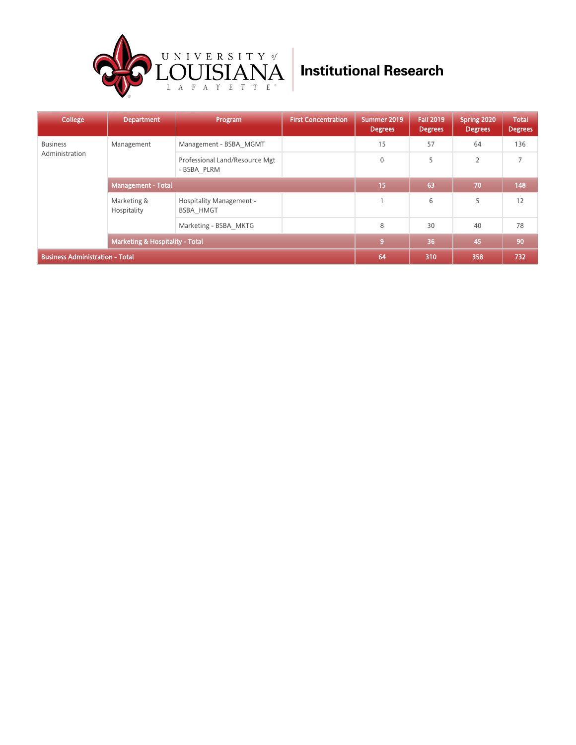

| <b>College</b>                         | <b>Department</b>                          | Program                                             | <b>First Concentration</b> | Summer 2019<br><b>Degrees</b> | <b>Fall 2019</b><br><b>Degrees</b> | Spring 2020<br><b>Degrees</b> | <b>Total</b><br><b>Degrees</b> |
|----------------------------------------|--------------------------------------------|-----------------------------------------------------|----------------------------|-------------------------------|------------------------------------|-------------------------------|--------------------------------|
| <b>Business</b>                        | Management                                 | Management - BSBA MGMT                              |                            | 15                            | 57                                 | 64                            | 136                            |
| Administration                         |                                            | Professional Land/Resource Mgt<br>- BSBA PLRM       |                            | $\mathbf 0$                   | 5                                  | $\overline{2}$                | $\overline{7}$                 |
|                                        | <b>Management - Total</b>                  |                                                     |                            | 15                            | 63                                 | 70                            | 148                            |
|                                        | Marketing &<br>Hospitality                 | <b>Hospitality Management -</b><br><b>BSBA HMGT</b> |                            |                               | 6                                  | 5                             | 12                             |
|                                        |                                            | Marketing - BSBA MKTG                               |                            | 8                             | 30                                 | 40                            | 78                             |
|                                        | <b>Marketing &amp; Hospitality - Total</b> |                                                     |                            | $\overline{9}$                | 36                                 | 45                            | 90                             |
| <b>Business Administration - Total</b> |                                            |                                                     |                            | 64                            | 310                                | 358                           | 732                            |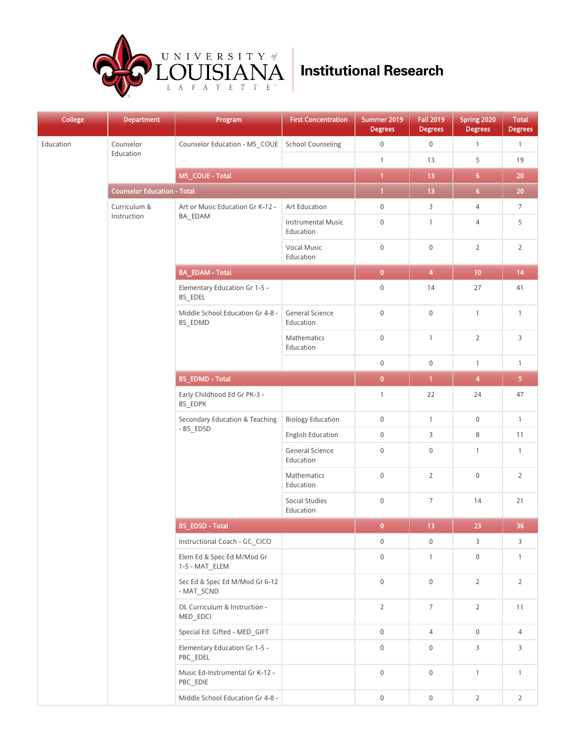

| <b>College</b> | <b>Department</b>                  | Program<br>_                                 | <b>First Concentration</b>             | Summer 2019<br><b>Degrees</b> | <b>Fall 2019</b><br><b>Degrees</b> | Spring 2020<br><b>Degrees</b> | <b>Total</b><br><b>Degrees</b> |
|----------------|------------------------------------|----------------------------------------------|----------------------------------------|-------------------------------|------------------------------------|-------------------------------|--------------------------------|
| Education      | Counselor                          | Counselor Education - MS_COUE                | <b>School Counseling</b>               | $\boldsymbol{0}$              | $\boldsymbol{0}$                   | $\mathbf{1}$                  | $\mathbf{1}$                   |
|                | Education                          |                                              |                                        | $\mathbf{1}$                  | 13                                 | 5                             | 19                             |
|                |                                    | MS_COUE - Total                              |                                        | $\mathbf{1}$                  | 13                                 | $\overline{6}$                | $20\,$                         |
|                | <b>Counselor Education - Total</b> |                                              |                                        | $\mathbf{1}$                  | 13                                 | 6 <sup>1</sup>                | 20                             |
|                | Curriculum &                       | Art or Music Education Gr K-12 -             | Art Education                          | $\mathbf 0$                   | 3                                  | $\overline{4}$                | $\overline{7}$                 |
|                | Instruction                        | BA_EDAM                                      | <b>Instrumental Music</b><br>Education | $\boldsymbol{0}$              | $\mathbf{1}$                       | $\overline{4}$                | 5                              |
|                |                                    |                                              | <b>Vocal Music</b><br>Education        | $\boldsymbol{0}$              | $\mathbf 0$                        | $\overline{2}$                | $\overline{2}$                 |
|                |                                    | <b>BA_EDAM - Total</b>                       |                                        | $\overline{\mathbf{0}}$       | $\overline{\mathbf{4}}$            | 10                            | 14                             |
|                |                                    | Elementary Education Gr 1-5 -<br>BS_EDEL     |                                        | $\boldsymbol{0}$              | 14                                 | 27                            | 41                             |
|                |                                    | Middle School Education Gr 4-8 -<br>BS_EDMD  | General Science<br>Education           | $\boldsymbol{0}$              | $\boldsymbol{0}$                   | $\mathbf{1}$                  | $\mathbf{1}$                   |
|                |                                    |                                              | Mathematics<br>Education               | $\mathbf 0$                   | $\mathbf{1}$                       | $\overline{2}$                | 3                              |
|                |                                    |                                              |                                        | $\boldsymbol{0}$              | $\mathbf 0$                        | $\mathbf{1}$                  | $\mathbf{1}$                   |
|                |                                    | <b>BS_EDMD - Total</b>                       |                                        | $\pmb{0}$                     | 1 <sup>1</sup>                     | $\overline{\mathbf{4}}$       | 5                              |
|                |                                    | Early Childhood Ed Gr PK-3 -<br>BS_EDPK      |                                        | $\mathbf{1}$                  | 22                                 | 24                            | 47                             |
|                |                                    | Secondary Education & Teaching<br>- BS_EDSD  | <b>Biology Education</b>               | $\boldsymbol{0}$              | $\mathbf{1}$                       | $\mathbf 0$                   | $\mathbf{1}$                   |
|                |                                    |                                              | <b>English Education</b>               | $\boldsymbol{0}$              | 3                                  | 8                             | 11                             |
|                |                                    |                                              | General Science<br>Education           | $\mathbf 0$                   | $\mathbf 0$                        | $\mathbf{1}$                  | $\mathbf{1}$                   |
|                |                                    |                                              | <b>Mathematics</b><br>Education        | $\boldsymbol{0}$              | $\overline{2}$                     | $\mathbf 0$                   | $\overline{2}$                 |
|                |                                    |                                              | Social Studies<br>Education            | $\boldsymbol{0}$              | $\overline{7}$                     | 14                            | 21                             |
|                |                                    | <b>BS_EDSD - Total</b>                       |                                        | $\pmb{0}$                     | 13                                 | 23                            | 36                             |
|                |                                    | Instructional Coach - GC_CICO                |                                        | $\boldsymbol{0}$              | $\mathbf 0$                        | 3                             | 3                              |
|                |                                    | Elem Ed & Spec Ed M/Mod Gr<br>1-5 - MAT_ELEM |                                        | $\mathbf 0$                   | $\mathbf{1}$                       | $\mathbf 0$                   | $\mathbf{1}$                   |
|                |                                    | Sec Ed & Spec Ed M/Mod Gr 6-12<br>- MAT_SCND |                                        | $\mathsf 0$                   | $\mathbf 0$                        | $\overline{2}$                | $\overline{2}$                 |
|                |                                    | OL Curriculum & Instruction -<br>MED_EDCI    |                                        | $\overline{2}$                | $\overline{7}$                     | $\overline{2}$                | 11                             |
|                |                                    | Special Ed: Gifted - MED_GIFT                |                                        | $\mathbf 0$                   | $\overline{4}$                     | $\mathbf 0$                   | 4                              |
|                |                                    | Elementary Education Gr 1-5 -<br>PBC_EDEL    |                                        | $\boldsymbol{0}$              | $\mathbf 0$                        | 3                             | 3                              |
|                |                                    | Music Ed-Instrumental Gr K-12 -<br>PBC_EDIE  |                                        | $\mathbf 0$                   | $\mathbb O$                        | $\mathbf{1}$                  | $\mathbf{1}$                   |
|                |                                    | Middle School Education Gr 4-8 -             |                                        | $\boldsymbol{0}$              | $\boldsymbol{0}$                   | $\overline{2}$                | $\overline{2}$                 |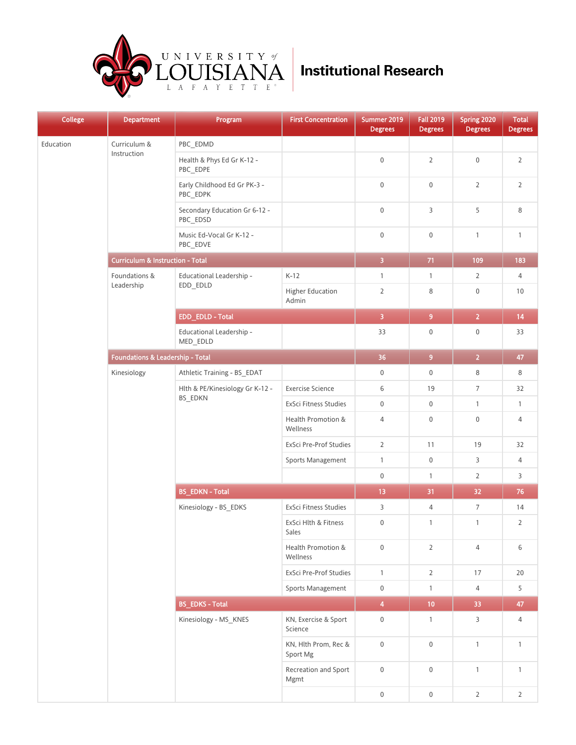

| <b>College</b> | <b>Department</b>                           | Program<br>__                              | <b>First Concentration</b>       | Summer 2019<br><b>Degrees</b> | <b>Fall 2019</b><br><b>Degrees</b> | Spring 2020<br><b>Degrees</b> | <b>Total</b><br><b>Degrees</b> |
|----------------|---------------------------------------------|--------------------------------------------|----------------------------------|-------------------------------|------------------------------------|-------------------------------|--------------------------------|
| Education      | Curriculum &                                | PBC_EDMD                                   |                                  |                               |                                    |                               |                                |
|                | Instruction                                 | Health & Phys Ed Gr K-12 -<br>PBC_EDPE     |                                  | $\mathbf 0$                   | $\overline{2}$                     | $\mathbf 0$                   | $\overline{2}$                 |
|                |                                             | Early Childhood Ed Gr PK-3 -<br>PBC_EDPK   |                                  | $\boldsymbol{0}$              | $\mathbf 0$                        | $\overline{2}$                | $\overline{2}$                 |
|                |                                             | Secondary Education Gr 6-12 -<br>PBC_EDSD  |                                  | $\mathbf 0$                   | 3                                  | 5                             | 8                              |
|                |                                             | Music Ed-Vocal Gr K-12 -<br>PBC_EDVE       |                                  | $\mathbf 0$                   | $\mathbf 0$                        | $\mathbf{1}$                  | $\mathbf{1}$                   |
|                | <b>Curriculum &amp; Instruction - Total</b> |                                            |                                  | $\overline{3}$                | 71                                 | 109                           | 183                            |
|                | Foundations &                               | Educational Leadership -<br>$EDD$ _ $EDLD$ | $K-12$                           | $\mathbf{1}$                  | $\mathbf{1}$                       | $\overline{2}$                | 4                              |
|                | Leadership                                  |                                            | Higher Education<br>Admin        | $\overline{2}$                | 8                                  | $\mathbf 0$                   | 10                             |
|                |                                             | EDD_EDLD - Total                           |                                  | 3 <sup>°</sup>                | 9 <sub>o</sub>                     | 2 <sup>7</sup>                | 14                             |
|                |                                             | Educational Leadership -<br>MED EDLD       |                                  | 33                            | $\mathbf 0$                        | $\boldsymbol{0}$              | 33                             |
|                | Foundations & Leadership - Total            |                                            |                                  | 36                            | 9 <sup>°</sup>                     | $\overline{2}$                | 47                             |
|                | Kinesiology                                 | Athletic Training - BS EDAT                |                                  | $\mathbf 0$                   | $\mathbf 0$                        | 8                             | 8                              |
|                |                                             | Hlth & PE/Kinesiology Gr K-12 -            | <b>Exercise Science</b>          | 6                             | 19                                 | $\overline{7}$                | 32                             |
|                |                                             | BS_EDKN                                    | ExSci Fitness Studies            | $\mathbf 0$                   | $\mathbf 0$                        | $\mathbf{1}$                  | $\mathbf{1}$                   |
|                |                                             |                                            | Health Promotion &<br>Wellness   | $\overline{4}$                | $\mathbf 0$                        | $\mathbf 0$                   | 4                              |
|                |                                             |                                            | ExSci Pre-Prof Studies           | $\overline{2}$                | 11                                 | 19                            | 32                             |
|                |                                             |                                            | Sports Management                | $\mathbf{1}$                  | $\mathbf 0$                        | 3                             | 4                              |
|                |                                             |                                            |                                  | $\boldsymbol{0}$              | $\mathbf{1}$                       | $\overline{2}$                | 3                              |
|                |                                             | <b>BS_EDKN - Total</b>                     |                                  | 13                            | 31                                 | 32 <sub>2</sub>               | 76                             |
|                |                                             | Kinesiology - BS_EDKS                      | ExSci Fitness Studies            | 3                             | $\overline{4}$                     | $\overline{7}$                | 14                             |
|                |                                             |                                            | ExSci Hlth & Fitness<br>Sales    | $\boldsymbol{0}$              | $\mathbf{1}$                       | $\mathbf{1}$                  | $\overline{2}$                 |
|                |                                             |                                            | Health Promotion &<br>Wellness   | $\boldsymbol{0}$              | $\overline{2}$                     | $\overline{4}$                | 6                              |
|                |                                             |                                            | ExSci Pre-Prof Studies           | $\mathbf{1}$                  | $\overline{2}$                     | 17                            | 20                             |
|                |                                             |                                            | Sports Management                | $\boldsymbol{0}$              | $\mathbf{1}$                       | $\overline{4}$                | 5                              |
|                |                                             | <b>BS_EDKS - Total</b>                     |                                  | $\overline{\mathbf{4}}$       | 10 <sub>1</sub>                    | 33                            | 47                             |
|                |                                             | Kinesiology - MS_KNES                      | KN, Exercise & Sport<br>Science  | 0                             | $\mathbf{1}$                       | $\overline{3}$                | 4                              |
|                |                                             |                                            | KN, Hlth Prom, Rec &<br>Sport Mg | $\mathsf{O}\xspace$           | $\boldsymbol{0}$                   | $\mathbf{1}$                  | $\mathbf{1}$                   |
|                |                                             |                                            | Recreation and Sport<br>Mgmt     | $\boldsymbol{0}$              | $\mathbf 0$                        | $\mathbf{1}$                  | $\mathbf{1}$                   |
|                |                                             |                                            |                                  | $\boldsymbol{0}$              | $\boldsymbol{0}$                   | $\overline{2}$                | $\overline{2}$                 |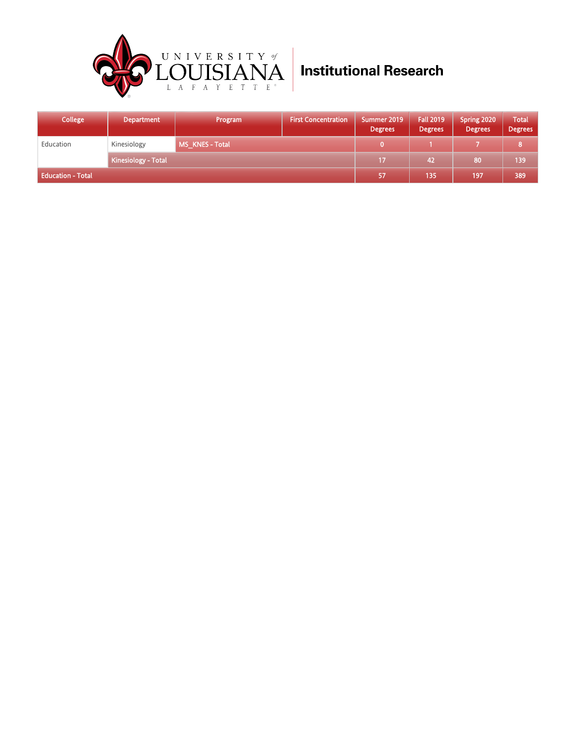

| <b>College</b>           | <b>Department</b>          | Program       | <b>First Concentration</b> | Summer 2019<br><b>Degrees</b> | <b>Fall 2019</b><br><b>Degrees</b> | Spring 2020<br><b>Degrees</b> | Total<br><b>Degrees</b> |
|--------------------------|----------------------------|---------------|----------------------------|-------------------------------|------------------------------------|-------------------------------|-------------------------|
| Education                | Kinesiology                | MS KNES-Total |                            |                               |                                    |                               |                         |
|                          | <b>Kinesiology - Total</b> |               |                            | 17                            | 47                                 | 80                            | 139                     |
| <b>Education - Total</b> |                            |               |                            | 57                            | 135                                | 197                           | 389                     |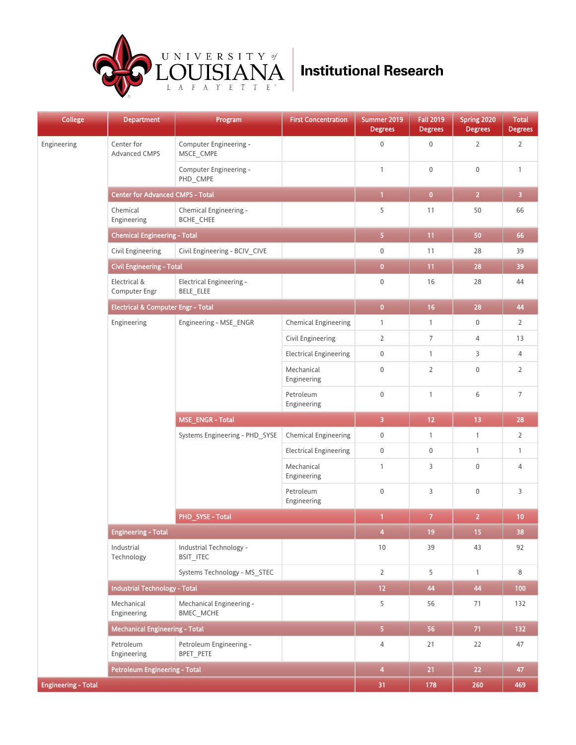

| College                    | <b>Department</b>                       | Program                                      | <b>First Concentration</b>    | Summer 2019<br><b>Degrees</b> | <b>Fall 2019</b><br><b>Degrees</b> | Spring 2020<br><b>Degrees</b> | <b>Total</b><br><b>Degrees</b> |
|----------------------------|-----------------------------------------|----------------------------------------------|-------------------------------|-------------------------------|------------------------------------|-------------------------------|--------------------------------|
| Engineering                | Center for<br>Advanced CMPS             | Computer Engineering -<br>MSCE CMPE          |                               | $\boldsymbol{0}$              | $\boldsymbol{0}$                   | $\overline{2}$                | $\mathsf 2$                    |
|                            |                                         | Computer Engineering -<br>PHD_CMPE           |                               | $\mathbf{1}$                  | $\boldsymbol{0}$                   | $\boldsymbol{0}$              | $\mathbf{1}$                   |
|                            | <b>Center for Advanced CMPS - Total</b> |                                              |                               | $\mathbf{1}$                  | $\bullet$                          | 2 <sub>1</sub>                | $\overline{\mathbf{3}}$        |
|                            | Chemical<br>Engineering                 | Chemical Engineering -<br>BCHE_CHEE          |                               | 5                             | 11                                 | 50                            | 66                             |
|                            | <b>Chemical Engineering - Total</b>     |                                              |                               | 5 <sub>1</sub>                | 11                                 | 50                            | 66                             |
|                            | Civil Engineering                       | Civil Engineering - BCIV_CIVE                |                               | $\mathsf 0$                   | 11                                 | 28                            | 39                             |
|                            | <b>Civil Engineering - Total</b>        |                                              |                               | $\bullet$                     | 11                                 | 28                            | 39                             |
|                            | Electrical &<br>Computer Engr           | Electrical Engineering -<br>BELE ELEE        |                               | $\boldsymbol{0}$              | 16                                 | 28                            | 44                             |
|                            | Electrical & Computer Engr - Total      |                                              |                               | $\bullet$                     | 16                                 | 28                            | 44                             |
|                            | Engineering                             | Engineering - MSE_ENGR                       | <b>Chemical Engineering</b>   | $\mathbf{1}$                  | $\mathbf{1}$                       | 0                             | 2                              |
|                            |                                         |                                              | Civil Engineering             | $\overline{2}$                | 7                                  | $\overline{4}$                | 13                             |
|                            |                                         |                                              | <b>Electrical Engineering</b> | $\mathbb O$                   | $\mathbf{1}$                       | 3                             | 4                              |
|                            |                                         |                                              | Mechanical<br>Engineering     | $\mathbb O$                   | $\overline{2}$                     | $\boldsymbol{0}$              | $\overline{2}$                 |
|                            |                                         |                                              | Petroleum<br>Engineering      | $\boldsymbol{0}$              | $\mathbf{1}$                       | 6                             | $\overline{7}$                 |
|                            |                                         | MSE_ENGR - Total                             | $\overline{3}$                | $12$                          | 13                                 | 28                            |                                |
|                            |                                         | Systems Engineering - PHD SYSE               | <b>Chemical Engineering</b>   | $\mathbf 0$                   | $\mathbf{1}$                       | $\mathbf{1}$                  | 2                              |
|                            |                                         |                                              | <b>Electrical Engineering</b> | $\mathbf 0$                   | 0                                  | $\mathbf{1}$                  | $\mathbf{1}$                   |
|                            |                                         |                                              | Mechanical<br>Engineering     | $\mathbf{1}$                  | 3                                  | $\boldsymbol{0}$              | 4                              |
|                            |                                         |                                              | Petroleum<br>Engineering      | $\mathbf 0$                   | 3                                  | $\boldsymbol{0}$              | 3                              |
|                            |                                         | PHD_SYSE - Total                             |                               | $\mathbf{1}$                  | $\overline{7}$                     | $\overline{2}$                | 10                             |
|                            | <b>Engineering - Total</b>              |                                              |                               | $\overline{4}$                | 19                                 | 15                            | 38                             |
|                            | Industrial<br>Technology                | Industrial Technology -<br><b>BSIT_ITEC</b>  |                               | 10                            | 39                                 | 43                            | 92                             |
|                            |                                         | Systems Technology - MS_STEC                 |                               | $\overline{2}$                | 5                                  | $\mathbf{1}$                  | 8                              |
|                            | <b>Industrial Technology - Total</b>    |                                              |                               | 12 <sub>1</sub>               | 44                                 | 44                            | 100                            |
|                            | Mechanical<br>Engineering               | Mechanical Engineering -<br><b>BMEC MCHE</b> |                               | 5                             | 56                                 | 71                            | 132                            |
|                            | <b>Mechanical Engineering - Total</b>   |                                              |                               | 5 <sub>1</sub>                | 56                                 | 71                            | 132                            |
|                            | Petroleum<br>Engineering                | Petroleum Engineering -<br>BPET PETE         |                               | $\overline{4}$                | 21                                 | 22                            | 47                             |
|                            | <b>Petroleum Engineering - Total</b>    |                                              |                               | $\overline{4}$                | 21                                 | 22                            | 47                             |
| <b>Engineering - Total</b> |                                         |                                              |                               | 31                            | 178                                | 260                           | 469                            |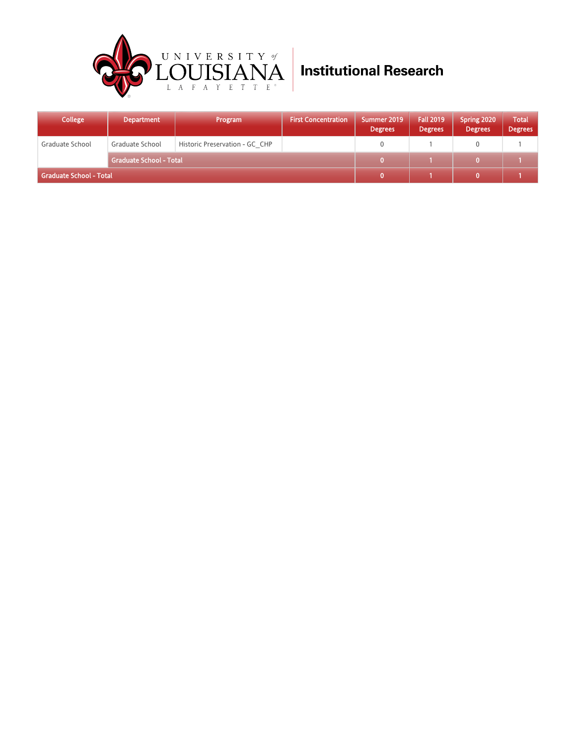

| <b>College</b>          | <b>Department</b>              | Program                        | <b>First Concentration</b> | Summer 2019<br><b>Degrees</b> | <b>Fall 2019</b><br><b>Degrees</b> | Spring 2020<br><b>Degrees</b> | <b>Total</b><br><b>Degrees</b> |
|-------------------------|--------------------------------|--------------------------------|----------------------------|-------------------------------|------------------------------------|-------------------------------|--------------------------------|
| Graduate School         | Graduate School                | Historic Preservation - GC CHP |                            |                               |                                    |                               |                                |
|                         | <b>Graduate School - Total</b> |                                |                            |                               |                                    |                               |                                |
| Graduate School - Total |                                |                                |                            |                               |                                    |                               |                                |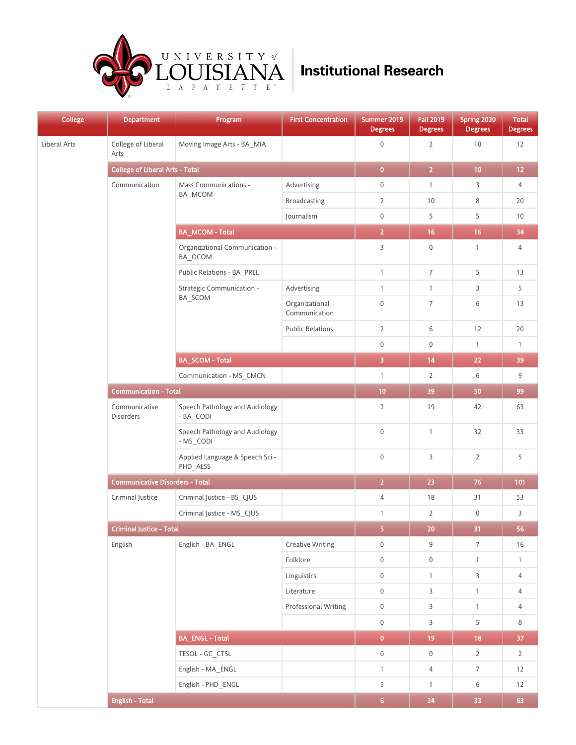

| <b>College</b> | <b>Department</b>                      | Program<br>_                                | <b>First Concentration</b>      | Summer 2019<br><b>Degrees</b> | <b>Fall 2019</b><br><b>Degrees</b> | Spring 2020<br><b>Degrees</b> | <b>Total</b><br><b>Degrees</b> |
|----------------|----------------------------------------|---------------------------------------------|---------------------------------|-------------------------------|------------------------------------|-------------------------------|--------------------------------|
| Liberal Arts   | College of Liberal<br>Arts             | Moving Image Arts - BA_MIA                  |                                 | $\boldsymbol{0}$              | $\overline{2}$                     | 10                            | 12                             |
|                | <b>College of Liberal Arts - Total</b> |                                             |                                 | $\bf{0}$                      | $\overline{2}$                     | 10                            | $12 \overline{ }$              |
|                | Communication                          | Mass Communications -                       | Advertising                     | $\boldsymbol{0}$              | $\mathbf{1}$                       | 3                             | 4                              |
|                |                                        | BA_MCOM                                     | <b>Broadcasting</b>             | $\overline{2}$                | 10                                 | 8                             | 20                             |
|                |                                        |                                             | Journalism                      | $\mathbf 0$                   | 5                                  | 5                             | 10                             |
|                |                                        | <b>BA_MCOM-Total</b>                        |                                 | $\overline{2}$                | $16 \,$                            | 16                            | 34                             |
|                |                                        | Organizational Communication -<br>BA_OCOM   |                                 | $\mathsf{3}$                  | $\boldsymbol{0}$                   | $\mathbf{1}$                  | 4                              |
|                |                                        | Public Relations - BA_PREL                  |                                 | $\mathbf{1}$                  | 7                                  | 5                             | 13                             |
|                |                                        | Strategic Communication -                   | Advertising                     | $\mathbf{1}$                  | $\mathbf{1}$                       | 3                             | 5                              |
|                |                                        | BA_SCOM                                     | Organizational<br>Communication | $\mathbf 0$                   | $\overline{7}$                     | 6                             | 13                             |
|                |                                        |                                             | <b>Public Relations</b>         | $\overline{2}$                | 6                                  | 12                            | 20                             |
|                |                                        |                                             |                                 | $\boldsymbol{0}$              | $\pmb{0}$                          | $\mathbf{1}$                  | $\mathbf{1}$                   |
|                |                                        | <b>BA_SCOM - Total</b>                      |                                 | $\overline{3}$                | 14                                 | 22                            | 39                             |
|                |                                        | Communication - MS_CMCN                     |                                 | $\mathbf{1}$                  | $\overline{2}$                     | 6                             | 9                              |
|                | <b>Communication - Total</b>           |                                             | 10                              | 39                            | 50                                 | 99                            |                                |
|                | Communicative<br>Disorders             | Speech Pathology and Audiology<br>- BA_CODI |                                 | $\overline{2}$                | 19                                 | 42                            | 63                             |
|                |                                        | Speech Pathology and Audiology<br>- MS_CODI |                                 | $\mathbf 0$                   | $\mathbf{1}$                       | 32                            | 33                             |
|                |                                        | Applied Language & Speech Sci -<br>PHD_ALSS |                                 | $\boldsymbol{0}$              | 3                                  | $\overline{2}$                | 5                              |
|                | <b>Communicative Disorders - Total</b> |                                             |                                 | $\overline{2}$                | 23                                 | 76                            | 101                            |
|                | Criminal Justice                       | Criminal Justice - BS_CJUS                  |                                 | $\sqrt{4}$                    | 18                                 | 31                            | 53                             |
|                |                                        | Criminal Justice - MS_CJUS                  |                                 | $\mathbf{1}$                  | $\overline{2}$                     | $\boldsymbol{0}$              | 3                              |
|                | <b>Criminal Justice - Total</b>        |                                             |                                 | 5 <sup>1</sup>                | 20                                 | 31                            | 56                             |
|                | English                                | English - BA_ENGL                           | <b>Creative Writing</b>         | $\boldsymbol{0}$              | $\overline{9}$                     | $\overline{7}$                | 16                             |
|                |                                        |                                             | Folklore                        | $\boldsymbol{0}$              | $\boldsymbol{0}$                   | $\mathbf{1}$                  | $\mathbf{1}$                   |
|                |                                        |                                             | Linguistics                     | $\boldsymbol{0}$              | $\mathbf{1}$                       | $\overline{3}$                | 4                              |
|                |                                        |                                             | Literature                      | $\mathbf 0$                   | $\mathsf{3}$                       | $\mathbf{1}$                  | 4                              |
|                |                                        |                                             | Professional Writing            | $\boldsymbol{0}$              | 3                                  | $\mathbf{1}$                  | 4                              |
|                |                                        |                                             |                                 | $\mathbf 0$                   | $\mathsf{3}$                       | 5                             | 8                              |
|                |                                        | <b>BA_ENGL-Total</b>                        |                                 | $\overline{\mathbf{0}}$       | 19 <sub>°</sub>                    | 18                            | 37                             |
|                |                                        | TESOL - GC_CTSL                             |                                 | $\mathbf 0$                   | $\mathsf 0$                        | $\overline{2}$                | $\overline{2}$                 |
|                |                                        | English - MA_ENGL                           |                                 | $\mathbf{1}$                  | $\overline{4}$                     | $\overline{7}$                | 12                             |
|                |                                        | English - PHD_ENGL                          |                                 | 5                             | $\mathbf{1}$                       | 6                             | 12                             |
|                | <b>English - Total</b>                 |                                             |                                 | $\overline{6}$                | 24                                 | 33                            | 63                             |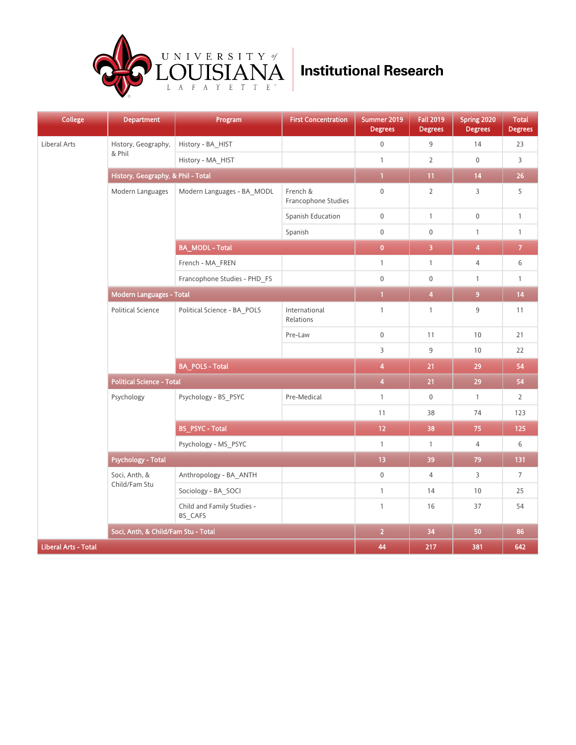

| <b>College</b>              | <b>Department</b>                   | Program<br>_                          | <b>First Concentration</b>      | Summer 2019<br><b>Degrees</b> | <b>Fall 2019</b><br><b>Degrees</b> | Spring 2020<br><b>Degrees</b> | <b>Total</b><br><b>Degrees</b> |
|-----------------------------|-------------------------------------|---------------------------------------|---------------------------------|-------------------------------|------------------------------------|-------------------------------|--------------------------------|
| Liberal Arts                | History, Geography,                 | History - BA_HIST                     |                                 | $\mathbf 0$                   | 9                                  | 14                            | 23                             |
|                             | & Phil                              | History - MA_HIST                     |                                 | $\mathbf{1}$                  | $\overline{2}$                     | $\mathbf 0$                   | 3                              |
|                             | History, Geography, & Phil - Total  | $\mathbf{1}$                          | 11                              | 14                            | 26                                 |                               |                                |
|                             | Modern Languages                    | Modern Languages - BA_MODL            | French &<br>Francophone Studies | $\mathbf 0$                   | $\overline{2}$                     | $\overline{3}$                | 5                              |
|                             |                                     |                                       | Spanish Education               | $\mathbf 0$                   | $\mathbf{1}$                       | $\mathsf{0}$                  | $\mathbf{1}$                   |
|                             |                                     |                                       | Spanish                         | $\mathbf 0$                   | $\mathbf 0$                        | $\mathbf{1}$                  | $\mathbf{1}$                   |
|                             |                                     | <b>BA_MODL - Total</b>                |                                 | $\mathbf{0}$                  | $\overline{\mathbf{3}}$            | 4                             | $\overline{\mathbf{7}}$        |
|                             |                                     | French - MA_FREN                      |                                 | $\mathbf{1}$                  | $\mathbf{1}$                       | $\overline{4}$                | 6                              |
|                             |                                     | Francophone Studies - PHD FS          |                                 | $\mathbf 0$                   | $\boldsymbol{0}$                   | $\mathbf{1}$                  | $\mathbf{1}$                   |
|                             | <b>Modern Languages - Total</b>     | $\mathbf{1}$                          | $\overline{\mathbf{4}}$         | 9 <sup>°</sup>                | 14                                 |                               |                                |
|                             | <b>Political Science</b>            | Political Science - BA_POLS           | International<br>Relations      | $\mathbf{1}$                  | $\mathbf{1}$                       | 9                             | 11                             |
|                             |                                     |                                       | Pre-Law                         | $\mathbf 0$                   | 11                                 | 10                            | 21                             |
|                             |                                     |                                       |                                 | $\overline{3}$                | 9                                  | 10                            | 22                             |
|                             |                                     | <b>BA_POLS - Total</b>                |                                 | 4                             | 21                                 | 29                            | 54                             |
|                             | <b>Political Science - Total</b>    |                                       |                                 | $\overline{4}$                | 21                                 | 29                            | 54                             |
|                             | Psychology                          | Psychology - BS_PSYC                  | Pre-Medical                     | $\mathbf{1}$                  | $\boldsymbol{0}$                   | $\mathbf{1}$                  | $\overline{2}$                 |
|                             |                                     |                                       |                                 | 11                            | 38                                 | 74                            | 123                            |
|                             |                                     | <b>BS_PSYC - Total</b>                |                                 | 12                            | 38                                 | 75                            | 125                            |
|                             |                                     | Psychology - MS_PSYC                  |                                 | $\mathbf{1}$                  | $\mathbf{1}$                       | $\overline{4}$                | 6                              |
|                             | <b>Psychology - Total</b>           |                                       |                                 | 13                            | 39                                 | 79                            | 131                            |
|                             | Soci, Anth, &<br>Child/Fam Stu      | Anthropology - BA ANTH                |                                 | $\boldsymbol{0}$              | $\overline{4}$                     | 3                             | $\overline{7}$                 |
|                             |                                     | Sociology - BA SOCI                   |                                 | $\mathbf{1}$                  | 14                                 | 10                            | 25                             |
|                             |                                     | Child and Family Studies -<br>BS_CAFS |                                 | $\mathbf{1}$                  | 16                                 | 37                            | 54                             |
|                             | Soci, Anth, & Child/Fam Stu - Total |                                       |                                 | $\overline{2}$                | 34                                 | 50                            | 86                             |
| <b>Liberal Arts - Total</b> |                                     |                                       | 44                              | 217                           | 381                                | 642                           |                                |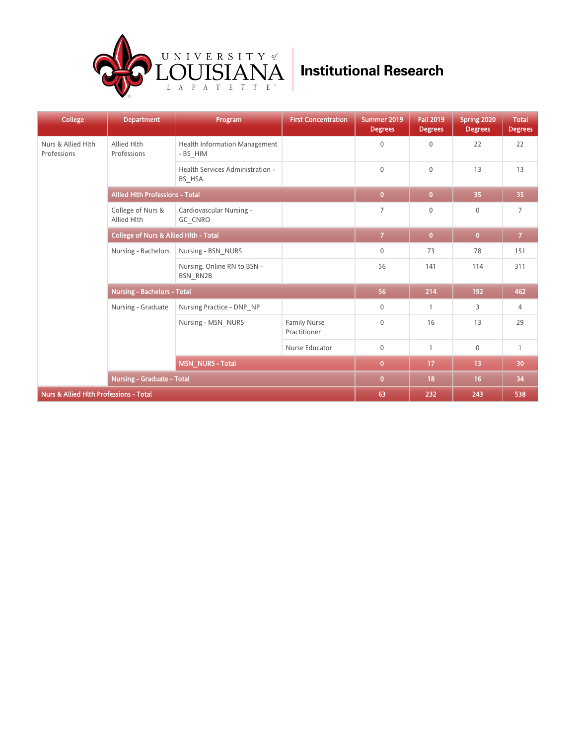

| <b>College</b>                                    | <b>Department</b>                                | Program                                        | <b>First Concentration</b>          | Summer 2019<br><b>Degrees</b> | <b>Fall 2019</b><br><b>Degrees</b> | Spring 2020<br><b>Degrees</b> | <b>Total</b><br><b>Degrees</b> |
|---------------------------------------------------|--------------------------------------------------|------------------------------------------------|-------------------------------------|-------------------------------|------------------------------------|-------------------------------|--------------------------------|
| Nurs & Allied Hlth<br>Professions                 | Allied Hlth<br>Professions                       | Health Information Management<br>- BS HIM      |                                     | 0                             | $\mathbf{0}$                       | 22                            | 22                             |
|                                                   |                                                  | Health Services Administration -<br>BS_HSA     |                                     | $\mathbf 0$                   | $\mathbf{0}$                       | 13                            | 13                             |
|                                                   | <b>Allied Hith Professions - Total</b>           |                                                |                                     | $\overline{0}$                | $\mathbf{0}$                       | 35                            | 35                             |
|                                                   | College of Nurs &<br>Allied Hlth                 | Cardiovascular Nursing -<br>GC CNRO            |                                     | $\overline{7}$                | $\mathbf{0}$                       | $\mathbf{0}$                  | $\overline{7}$                 |
|                                                   | <b>College of Nurs &amp; Allied Hith - Total</b> | $\overline{7}$                                 | $\overline{0}$                      | $\mathbf{0}$                  | $\mathcal{T}$                      |                               |                                |
|                                                   | Nursing - Bachelors                              | Nursing - BSN NURS                             |                                     | $\mathbf 0$                   | 73                                 | 78                            | 151                            |
|                                                   |                                                  | Nursing, Online RN to BSN -<br><b>BSN RN2B</b> |                                     | 56                            | 141                                | 114                           | 311                            |
|                                                   | <b>Nursing - Bachelors - Total</b>               |                                                |                                     | 56                            | 214                                | 192                           | 462                            |
|                                                   | Nursing - Graduate                               | Nursing Practice - DNP NP                      |                                     | $\mathbf 0$                   | $\mathbf{1}$                       | 3                             | 4                              |
|                                                   |                                                  | Nursing - MSN NURS                             | <b>Family Nurse</b><br>Practitioner | $\overline{0}$                | 16                                 | 13                            | 29                             |
|                                                   |                                                  |                                                | Nurse Educator                      | $\mathbf 0$                   | $\mathbf{1}$                       | $\mathbf 0$                   | $\mathbf{1}$                   |
|                                                   |                                                  | <b>MSN_NURS - Total</b>                        |                                     | $\overline{0}$                | 17                                 | 13                            | 30                             |
|                                                   | <b>Nursing - Graduate - Total</b>                |                                                |                                     | $\overline{0}$                | 18                                 | 16                            | 34                             |
| <b>Nurs &amp; Allied Hith Professions - Total</b> |                                                  |                                                |                                     | 63                            | 232                                | 243                           | 538                            |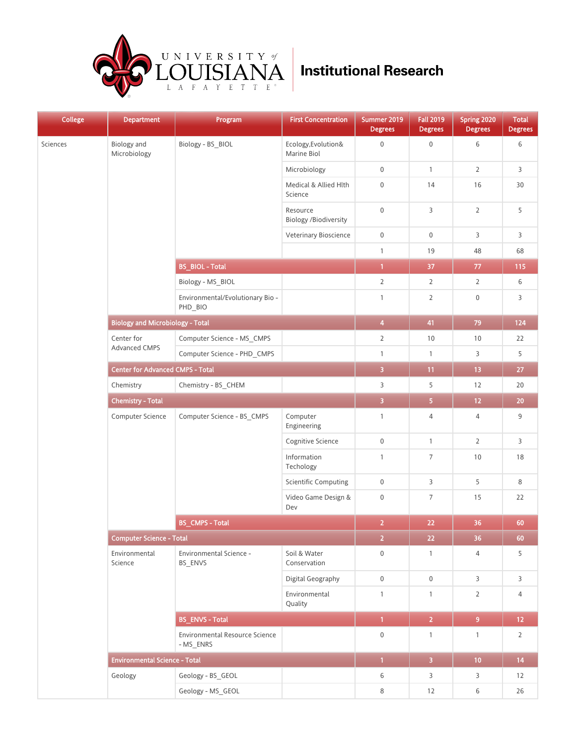

| <b>College</b> | <b>Department</b>                       | Program<br>_                                | <b>First Concentration</b>               | Summer 2019<br><b>Degrees</b> | <b>Fall 2019</b><br><b>Degrees</b> | Spring 2020<br><b>Degrees</b> | <b>Total</b><br><b>Degrees</b> |
|----------------|-----------------------------------------|---------------------------------------------|------------------------------------------|-------------------------------|------------------------------------|-------------------------------|--------------------------------|
| Sciences       | Biology and<br>Microbiology             | Biology - BS_BIOL                           | Ecology, Evolution&<br>Marine Biol       | $\boldsymbol{0}$              | $\mathbf 0$                        | 6                             | 6                              |
|                |                                         |                                             | Microbiology                             | $\boldsymbol{0}$              | $\mathbf{1}$                       | $\overline{2}$                | 3                              |
|                |                                         |                                             | Medical & Allied Hlth<br>Science         | $\mathsf{O}\xspace$           | 14                                 | 16                            | 30                             |
|                |                                         |                                             | Resource<br><b>Biology /Biodiversity</b> | $\mathsf{O}\xspace$           | 3                                  | $\overline{2}$                | 5                              |
|                |                                         |                                             | Veterinary Bioscience                    | $\boldsymbol{0}$              | $\boldsymbol{0}$                   | 3                             | 3                              |
|                |                                         |                                             |                                          | $\mathbf{1}$                  | 19                                 | 48                            | 68                             |
|                |                                         | <b>BS_BIOL - Total</b>                      |                                          | $\overline{1}$                | 37                                 | $77\,$                        | 115                            |
|                |                                         | Biology - MS_BIOL                           |                                          | $\mathbf{2}$                  | $\overline{2}$                     | $\overline{2}$                | 6                              |
|                |                                         | Environmental/Evolutionary Bio -<br>PHD BIO |                                          | $\mathbf{1}$                  | $\overline{2}$                     | $\boldsymbol{0}$              | 3                              |
|                | <b>Biology and Microbiology - Total</b> |                                             |                                          | $\overline{\mathbf{4}}$       | 41                                 | 79                            | 124                            |
|                | Center for<br>Advanced CMPS             | Computer Science - MS_CMPS                  |                                          | $\overline{2}$                | 10                                 | 10                            | 22                             |
|                |                                         | Computer Science - PHD_CMPS                 |                                          | $\mathbf{1}$                  | $\mathbf{1}$                       | 3                             | 5                              |
|                | <b>Center for Advanced CMPS - Total</b> |                                             | $\overline{\mathbf{3}}$                  | 11                            | 13 <sup>°</sup>                    | 27                            |                                |
|                | Chemistry                               | Chemistry - BS_CHEM                         |                                          | 3                             | 5                                  | 12                            | 20                             |
|                | <b>Chemistry - Total</b>                | $\overline{\mathbf{3}}$                     | 5 <sub>1</sub>                           | $12 \overline{ }$             | $20\,$                             |                               |                                |
|                | Computer Science                        | Computer Science - BS_CMPS                  | Computer<br>Engineering                  | $\mathbf{1}$                  | $\overline{4}$                     | 4                             | 9                              |
|                |                                         |                                             | Cognitive Science                        | $\boldsymbol{0}$              | $\mathbf{1}$                       | $\overline{2}$                | 3                              |
|                |                                         |                                             | Information<br>Techology                 | $\mathbf{1}$                  | $\overline{7}$                     | 10                            | $18\,$                         |
|                |                                         |                                             | <b>Scientific Computing</b>              | 0                             | 3                                  | 5                             | 8                              |
|                |                                         |                                             | Video Game Design &<br>Dev               | 0                             | $7\phantom{.0}$                    | 15                            | 22                             |
|                |                                         | <b>BS_CMPS - Total</b>                      |                                          | $\overline{2}$                | 22                                 | 36                            | 60                             |
|                | Computer Science - Total                | $\overline{2}$                              | $22\,$                                   | 36                            | 60                                 |                               |                                |
|                | Environmental<br>Science                | Environmental Science -<br>BS_ENVS          | Soil & Water<br>Conservation             | $\boldsymbol{0}$              | $\mathbf{1}$                       | $\overline{4}$                | 5                              |
|                |                                         |                                             | Digital Geography                        | 0                             | $\boldsymbol{0}$                   | $\mathsf{3}$                  | 3                              |
|                |                                         |                                             | Environmental<br>Quality                 | $\mathbf{1}$                  | $\mathbf{1}$                       | $\overline{2}$                | 4                              |
|                |                                         | <b>BS_ENVS - Total</b>                      |                                          | $\overline{1}$                | $\overline{2}$                     | 9 <sup>°</sup>                | 12 <sub>1</sub>                |
|                |                                         | Environmental Resource Science<br>- MS ENRS |                                          | $\boldsymbol{0}$              | $\mathbf{1}$                       | $\mathbf{1}$                  | $\overline{2}$                 |
|                | <b>Environmental Science - Total</b>    |                                             |                                          | $\overline{1}$                | $\overline{\mathbf{3}}$            | 10 <sub>1</sub>               | 14                             |
|                | Geology                                 | Geology - BS_GEOL                           |                                          | 6                             | 3                                  | $\overline{3}$                | 12                             |
|                |                                         | Geology - MS_GEOL                           |                                          | 8                             | 12                                 | $6\,$                         | 26                             |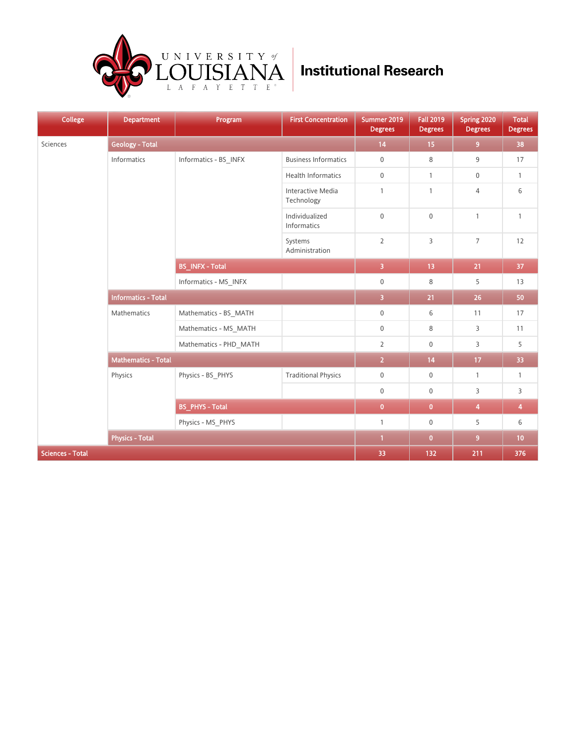

| <b>College</b>          | <b>Department</b>          | Program<br>__          | <b>First Concentration</b>      | Summer 2019<br><b>Degrees</b> | <b>Fall 2019</b><br><b>Degrees</b> | Spring 2020<br><b>Degrees</b> | <b>Total</b><br><b>Degrees</b> |
|-------------------------|----------------------------|------------------------|---------------------------------|-------------------------------|------------------------------------|-------------------------------|--------------------------------|
| Sciences                | <b>Geology - Total</b>     | 14                     | 15                              | 9 <sup>°</sup>                | 38                                 |                               |                                |
|                         | Informatics                | Informatics - BS_INFX  | <b>Business Informatics</b>     | $\mathbf 0$                   | 8                                  | 9                             | 17                             |
|                         |                            |                        | Health Informatics              | $\boldsymbol{0}$              | $\mathbf{1}$                       | $\mathbf 0$                   | $\mathbf{1}$                   |
|                         |                            |                        | Interactive Media<br>Technology | $\mathbf{1}$                  | $\overline{1}$                     | $\overline{4}$                | 6                              |
|                         |                            |                        | Individualized<br>Informatics   | $\mathbf 0$                   | $\mathbf 0$                        | $\mathbf{1}$                  | $\mathbf{1}$                   |
|                         |                            |                        | Systems<br>Administration       | $\overline{2}$                | 3                                  | $\overline{7}$                | 12                             |
|                         |                            | <b>BS_INFX - Total</b> |                                 | $\overline{\mathbf{3}}$       | 13                                 | 21                            | 37                             |
|                         |                            | Informatics - MS_INFX  |                                 | $\boldsymbol{0}$              | 8                                  | 5                             | 13                             |
|                         | <b>Informatics - Total</b> |                        |                                 | $\overline{\mathbf{3}}$       | 21                                 | 26                            | 50                             |
|                         | Mathematics                | Mathematics - BS_MATH  |                                 | $\boldsymbol{0}$              | 6                                  | 11                            | 17                             |
|                         |                            | Mathematics - MS_MATH  |                                 | $\boldsymbol{0}$              | 8                                  | 3                             | 11                             |
|                         |                            | Mathematics - PHD_MATH |                                 | $\overline{2}$                | $\mathbf 0$                        | 3                             | 5                              |
|                         | <b>Mathematics - Total</b> |                        |                                 | $\overline{2}$                | 14                                 | 17                            | 33                             |
|                         | Physics                    | Physics - BS_PHYS      | <b>Traditional Physics</b>      | $\mathbf 0$                   | $\mathbf 0$                        | $\mathbf{1}$                  | $\mathbf{1}$                   |
|                         |                            |                        |                                 | $\boldsymbol{0}$              | $\mathbf 0$                        | 3                             | 3                              |
|                         |                            | <b>BS_PHYS - Total</b> |                                 | $\mathbf{0}$                  | $\bullet$                          | $\overline{4}$                | 4                              |
|                         |                            | Physics - MS_PHYS      |                                 | $\mathbf{1}$                  | $\mathbf 0$                        | 5                             | 6                              |
|                         | <b>Physics - Total</b>     |                        |                                 | $\mathbf{1}$                  | $\bullet$                          | 9 <sup>°</sup>                | 10                             |
| <b>Sciences - Total</b> |                            |                        |                                 | 33                            | 132                                | 211                           | 376                            |